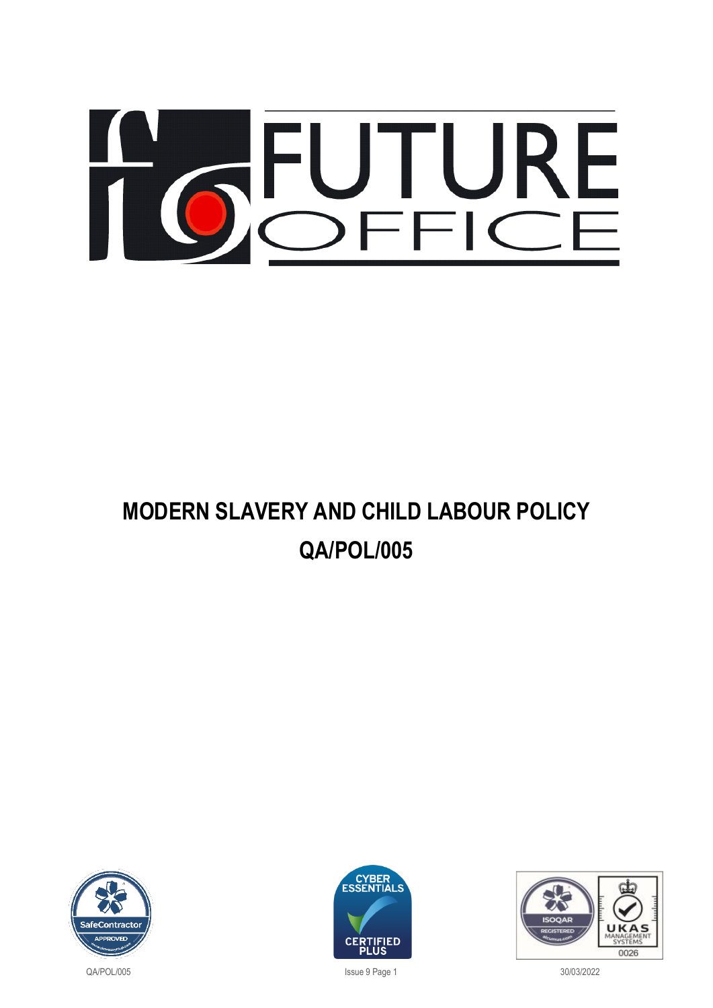# OCHURE

# **MODERN SLAVERY AND CHILD LABOUR POLICY QA/POL/005**







QA/POL/005 Issue 9 Page 1 30/03/2022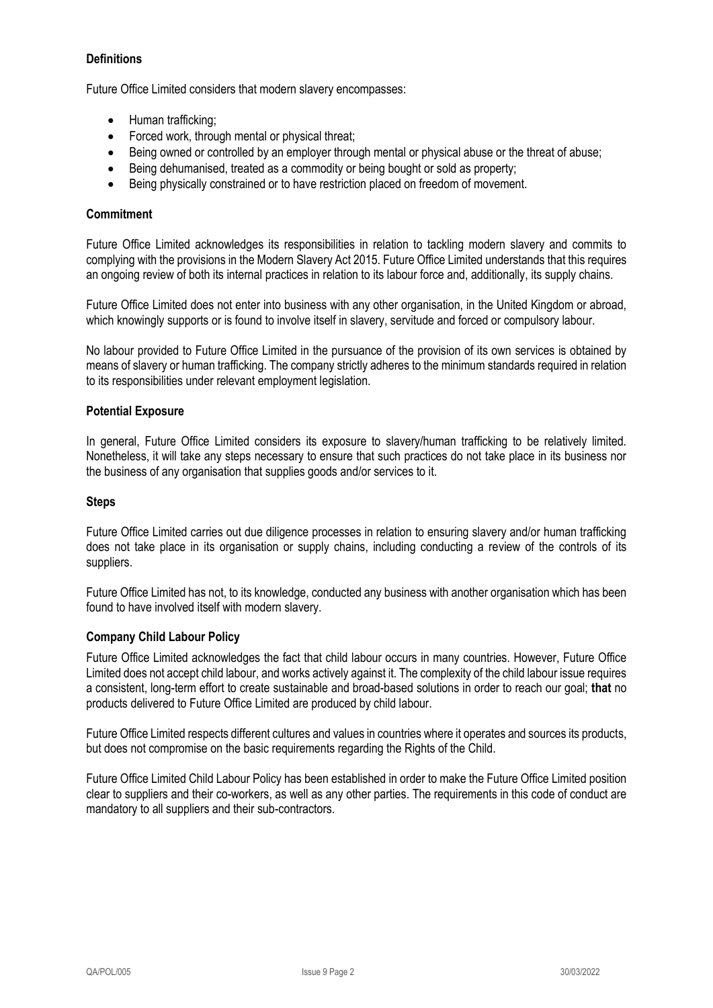# **Definitions**

Future Office Limited considers that modern slavery encompasses:

- Human trafficking;
- Forced work, through mental or physical threat;
- Being owned or controlled by an employer through mental or physical abuse or the threat of abuse;
- Being dehumanised, treated as a commodity or being bought or sold as property;
- Being physically constrained or to have restriction placed on freedom of movement.

### **Commitment**

Future Office Limited acknowledges its responsibilities in relation to tackling modern slavery and commits to complying with the provisions in the Modern Slavery Act 2015. Future Office Limited understands that this requires an ongoing review of both its internal practices in relation to its labour force and, additionally, its supply chains.

Future Office Limited does not enter into business with any other organisation, in the United Kingdom or abroad, which knowingly supports or is found to involve itself in slavery, servitude and forced or compulsory labour.

No labour provided to Future Office Limited in the pursuance of the provision of its own services is obtained by means of slavery or human trafficking. The company strictly adheres to the minimum standards required in relation to its responsibilities under relevant employment legislation.

### **Potential Exposure**

In general, Future Office Limited considers its exposure to slavery/human trafficking to be relatively limited. Nonetheless, it will take any steps necessary to ensure that such practices do not take place in its business nor the business of any organisation that supplies goods and/or services to it.

### **Steps**

Future Office Limited carries out due diligence processes in relation to ensuring slavery and/or human trafficking does not take place in its organisation or supply chains, including conducting a review of the controls of its suppliers.

Future Office Limited has not, to its knowledge, conducted any business with another organisation which has been found to have involved itself with modern slavery.

#### **Company Child Labour Policy**

Future Office Limited acknowledges the fact that child labour occurs in many countries. However, Future Office Limited does not accept child labour, and works actively against it. The complexity of the child labour issue requires a consistent, long-term effort to create sustainable and broad-based solutions in order to reach our goal; **that** no products delivered to Future Office Limited are produced by child labour.

Future Office Limited respects different cultures and values in countries where it operates and sources its products, but does not compromise on the basic requirements regarding the Rights of the Child.

Future Office Limited Child Labour Policy has been established in order to make the Future Office Limited position clear to suppliers and their co-workers, as well as any other parties. The requirements in this code of conduct are mandatory to all suppliers and their sub-contractors.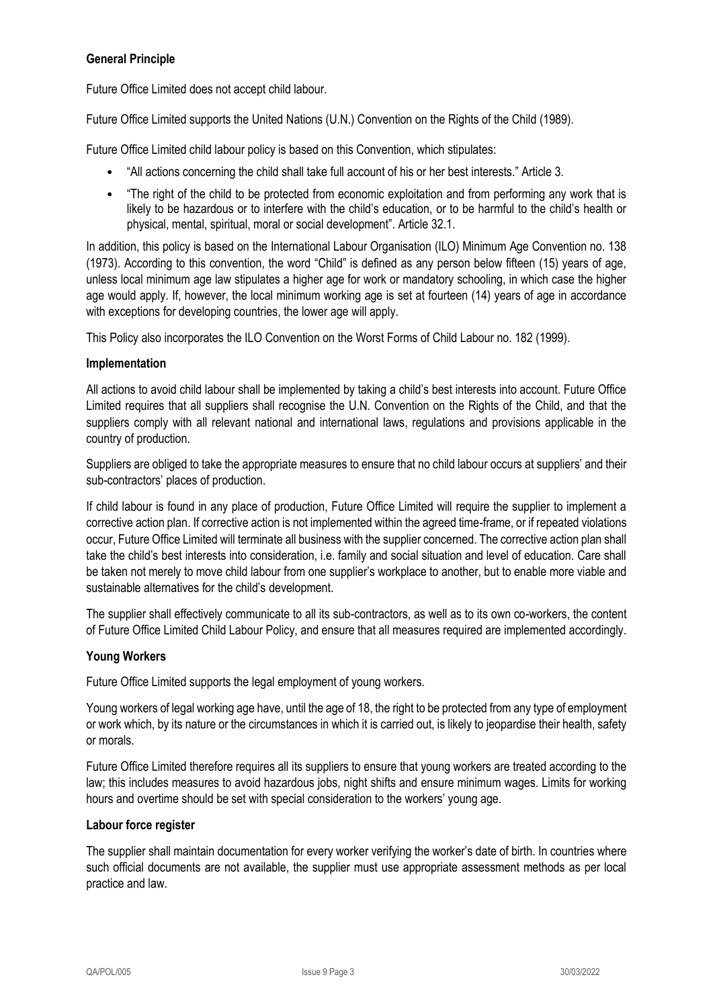# **General Principle**

Future Office Limited does not accept child labour.

Future Office Limited supports the United Nations (U.N.) Convention on the Rights of the Child (1989).

Future Office Limited child labour policy is based on this Convention, which stipulates:

- "All actions concerning the child shall take full account of his or her best interests." Article 3.
- "The right of the child to be protected from economic exploitation and from performing any work that is likely to be hazardous or to interfere with the child's education, or to be harmful to the child's health or physical, mental, spiritual, moral or social development". Article 32.1.

In addition, this policy is based on the International Labour Organisation (ILO) Minimum Age Convention no. 138 (1973). According to this convention, the word "Child" is defined as any person below fifteen (15) years of age, unless local minimum age law stipulates a higher age for work or mandatory schooling, in which case the higher age would apply. If, however, the local minimum working age is set at fourteen (14) years of age in accordance with exceptions for developing countries, the lower age will apply.

This Policy also incorporates the ILO Convention on the Worst Forms of Child Labour no. 182 (1999).

#### **Implementation**

All actions to avoid child labour shall be implemented by taking a child's best interests into account. Future Office Limited requires that all suppliers shall recognise the U.N. Convention on the Rights of the Child, and that the suppliers comply with all relevant national and international laws, regulations and provisions applicable in the country of production.

Suppliers are obliged to take the appropriate measures to ensure that no child labour occurs at suppliers' and their sub-contractors' places of production.

If child labour is found in any place of production, Future Office Limited will require the supplier to implement a corrective action plan. If corrective action is not implemented within the agreed time-frame, or if repeated violations occur, Future Office Limited will terminate all business with the supplier concerned. The corrective action plan shall take the child's best interests into consideration, i.e. family and social situation and level of education. Care shall be taken not merely to move child labour from one supplier's workplace to another, but to enable more viable and sustainable alternatives for the child's development.

The supplier shall effectively communicate to all its sub-contractors, as well as to its own co-workers, the content of Future Office Limited Child Labour Policy, and ensure that all measures required are implemented accordingly.

#### **Young Workers**

Future Office Limited supports the legal employment of young workers.

Young workers of legal working age have, until the age of 18, the right to be protected from any type of employment or work which, by its nature or the circumstances in which it is carried out, is likely to jeopardise their health, safety or morals.

Future Office Limited therefore requires all its suppliers to ensure that young workers are treated according to the law; this includes measures to avoid hazardous jobs, night shifts and ensure minimum wages. Limits for working hours and overtime should be set with special consideration to the workers' young age.

#### **Labour force register**

The supplier shall maintain documentation for every worker verifying the worker's date of birth. In countries where such official documents are not available, the supplier must use appropriate assessment methods as per local practice and law.